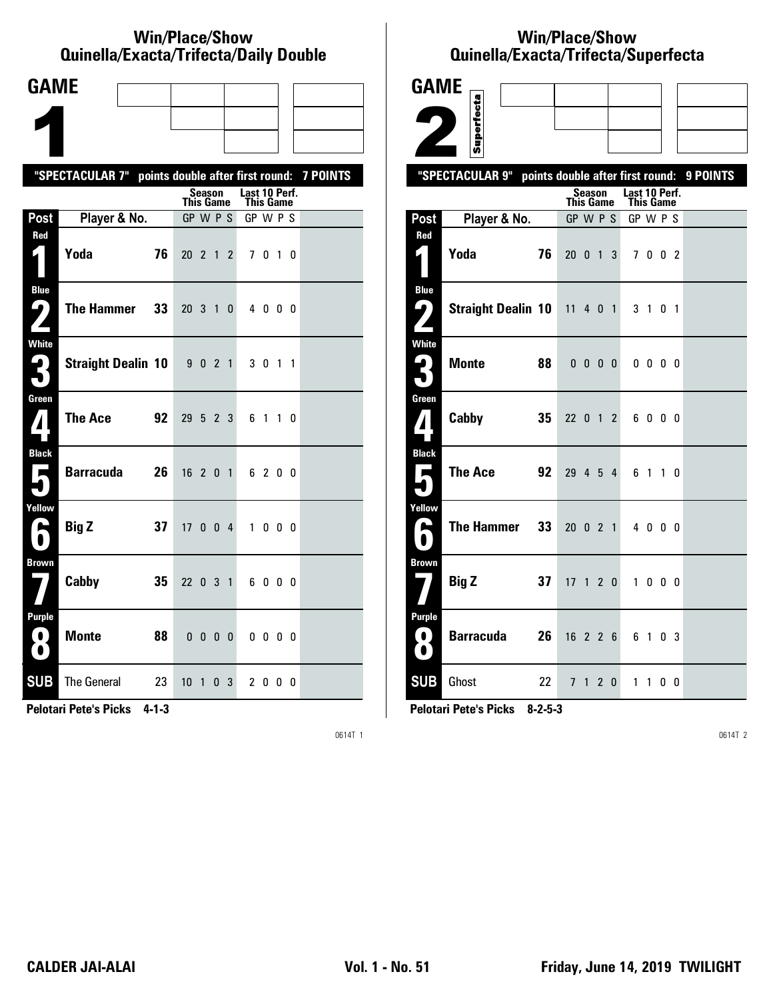#### **Win/Place/Show Qui nel la/Exacta/Tri fecta/Daily Dou ble**

| <b>GAME</b>                                                      |                                                  |                          |              |                            |                   |                 |
|------------------------------------------------------------------|--------------------------------------------------|--------------------------|--------------|----------------------------|-------------------|-----------------|
|                                                                  |                                                  |                          |              |                            |                   |                 |
|                                                                  |                                                  |                          |              |                            |                   |                 |
|                                                                  | "SPECTACULAR 7" points double after first round: |                          |              |                            |                   | <b>7 POINTS</b> |
|                                                                  |                                                  | Season<br>This Game      |              | Last 10 Perf.<br>This Game |                   |                 |
| Post                                                             | Player & No.                                     | GP W P S                 |              | GP W P S                   |                   |                 |
| Red                                                              | Yoda<br>76                                       | 20 2 1 2                 |              | 7 0 1 0                    |                   |                 |
| <b>Blue</b><br>5<br>$\mathbf{Z}$                                 | <b>The Hammer</b><br>33                          | $20 \t3 \t1$             | $\mathbf{0}$ | 4000                       |                   |                 |
| White<br>3                                                       | <b>Straight Dealin 10</b>                        | 9 0 2 1                  |              | 3 0 1 1                    |                   |                 |
| Green<br>$\mathbf{Z}$                                            | <b>The Ace</b><br>92                             | 29 5 2 3                 |              | 6 1 1 0                    |                   |                 |
| <b>Black</b><br>$\overrightarrow{ }$                             | <b>Barracuda</b><br>26                           | 16 2 0 1                 |              | 6 2 0 0                    |                   |                 |
| Yellow<br>е                                                      | <b>Big Z</b><br>37                               | 17 0 0 4                 |              | $\mathbf{1}$               | $0\quad 0\quad 0$ |                 |
| <b>Brown</b>                                                     | Cabby<br>35                                      | 22 0 3 1                 |              | 6000                       |                   |                 |
| <b>Purple</b><br>$\left\lfloor \cdot \right\rfloor$<br>$\bullet$ | <b>Monte</b><br>88                               | $0\quad 0\quad 0\quad 0$ |              | $0\,0\,0\,0$               |                   |                 |
| <b>SUB</b>                                                       | <b>The General</b><br>23                         | 10 <sub>1</sub><br>0     | 3            | 2000                       |                   |                 |

**Pelotari Pete's Picks 4-1-3**

0614T 1

# **Win/Place/Show Qui nel la/Exacta/Tri fecta/Super fecta**

| <b>GAME</b>                              |                                                  |    |                              |                          |   |                              |                          |    |                |          |
|------------------------------------------|--------------------------------------------------|----|------------------------------|--------------------------|---|------------------------------|--------------------------|----|----------------|----------|
|                                          | Superfecta                                       |    |                              |                          |   |                              |                          |    |                |          |
|                                          |                                                  |    |                              |                          |   |                              |                          |    |                |          |
|                                          |                                                  |    |                              |                          |   |                              |                          |    |                |          |
|                                          | "SPECTACULAR 9" points double after first round: |    |                              | Season                   |   | Last 10 Perf.                |                          |    |                | 9 POINTS |
| Post                                     | Player & No.                                     |    | <b>This Game</b><br>GP W P S |                          |   | <b>This Game</b><br>GP W P S |                          |    |                |          |
| Red                                      |                                                  |    |                              |                          |   |                              |                          |    |                |          |
| $\mathbf{z}$                             | Yoda                                             | 76 | $20 \t 0 \t 1$               |                          | 3 |                              | 7002                     |    |                |          |
| <b>Blue</b><br>9,                        | <b>Straight Dealin 10</b>                        |    | $11$ 4 0 1                   |                          |   | 3 <sub>1</sub>               |                          | 01 |                |          |
| <b>White</b><br>$\mathbf{L}_{\parallel}$ | <b>Monte</b>                                     | 88 |                              | $0\quad 0\quad 0\quad 0$ |   |                              | $0\quad 0\quad 0\quad 0$ |    |                |          |
| Green<br>$\boldsymbol{I}$                | Cabby                                            | 35 | 22 0 1 2                     |                          |   |                              | 6000                     |    |                |          |
| <b>Black</b><br>Е                        | <b>The Ace</b>                                   | 92 | 29 4 5 4                     |                          |   | 61                           |                          |    | 10             |          |
| Yellow<br>$\blacktriangleright$          | <b>The Hammer</b>                                | 33 | 20 0 2 1                     |                          |   |                              | 4 0 0 0                  |    |                |          |
| <b>Brown</b>                             | <b>Big Z</b>                                     | 37 | $17 \t1 \t2 \t0$             |                          |   |                              | 1000                     |    |                |          |
| <b>Purple</b><br>$\bullet$<br>$\bullet$  | Barracuda                                        | 26 | $16$ 2 2 6                   |                          |   | 61                           |                          |    | 0 <sup>3</sup> |          |
| <b>SUB</b>                               | Ghost                                            | 22 |                              | 7 1 2 0                  |   |                              | 1100                     |    |                |          |

**Pelotari Pete's Picks 8-2-5-3**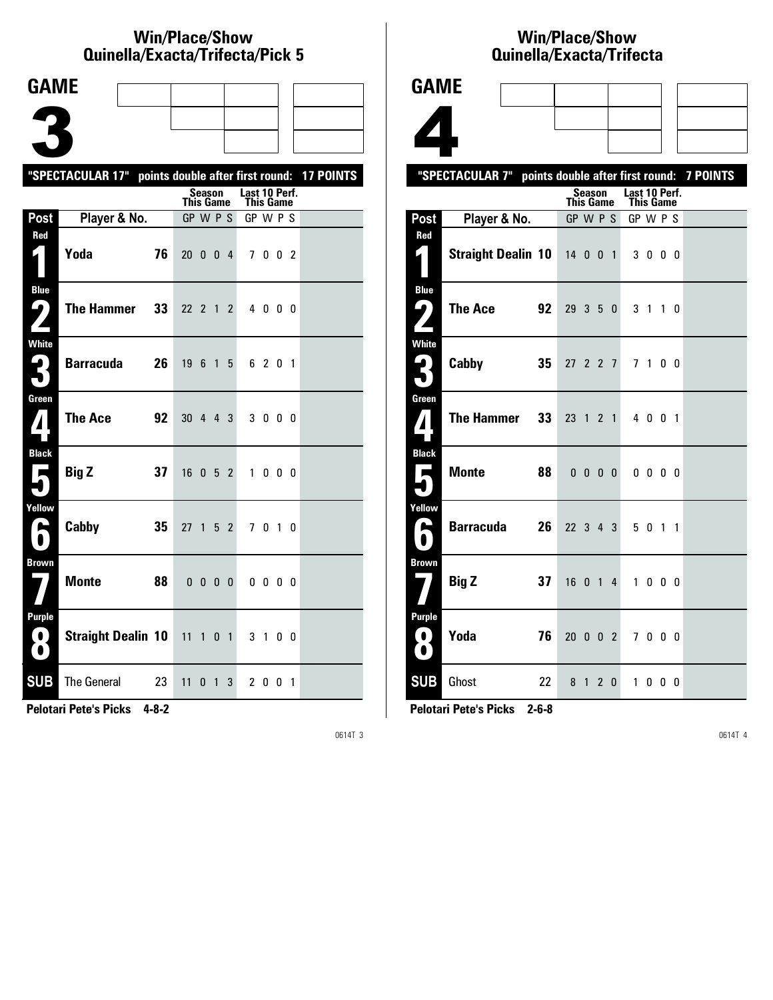#### **Win/Place/Show Qui nel la/Exacta/Tri fecta/Pick 5**

| <b>GAME</b>                                     |                                                             |    |                  |                          |                |              |               |              |  |  |
|-------------------------------------------------|-------------------------------------------------------------|----|------------------|--------------------------|----------------|--------------|---------------|--------------|--|--|
|                                                 |                                                             |    |                  |                          |                |              |               |              |  |  |
|                                                 |                                                             |    |                  |                          |                |              |               |              |  |  |
|                                                 |                                                             |    |                  |                          |                |              |               |              |  |  |
|                                                 | "SPECTACULAR 17" points double after first round: 17 POINTS |    |                  | <b>Season</b>            |                |              | Last 10 Perf. |              |  |  |
|                                                 |                                                             |    | $GP$ W $P$ S     | <b>This Game</b>         |                |              | This Game     |              |  |  |
| Post<br>Red                                     | Player & No.                                                |    |                  |                          |                |              | GP W P S      |              |  |  |
| $\vert \vert$                                   | Yoda                                                        | 76 | $20 \t0 \t0 \t4$ |                          |                |              |               | 7002         |  |  |
| <b>Blue</b><br>ر ما                             | <b>The Hammer</b>                                           | 33 | 22 2 1           |                          |                | $\mathbf{2}$ |               | 4 0 0 0      |  |  |
| White<br>3                                      | <b>Barracuda</b>                                            | 26 | 19               | - 6                      | 1 5            |              |               | 6 2 0 1      |  |  |
| Green<br>$\mathbf{Z}$                           | <b>The Ace</b>                                              | 92 | 30 4 4 3         |                          |                |              |               | 3 0 0 0      |  |  |
| <b>Black</b><br>$\blacksquare$                  | <b>Big Z</b>                                                | 37 | 16               | 052                      |                |              |               | 1000         |  |  |
| Yellow<br>A                                     | Cabby                                                       | 35 | 27               | $\overline{\phantom{0}}$ | 5 <sub>2</sub> |              |               | 7 0 1 0      |  |  |
| <b>Brown</b>                                    | <b>Monte</b>                                                | 88 |                  | $0\ 0\ 0\ 0$             |                |              |               | $0\,0\,0\,0$ |  |  |
| <b>Purple</b><br>$\left( 0\right)$<br>$\bullet$ | <b>Straight Dealin 10</b>                                   |    | $11$ 1 0 1       |                          |                |              |               | 3 1 0 0      |  |  |
| <b>SUB</b>                                      | The General 23                                              |    | 11               | 0                        | $\overline{1}$ | 3            |               | 2 0 0 1      |  |  |

**Pelotari Pete's Picks 4-8-2**

0614T 3

### **Win/Place/Show Qui nel la/Exacta/Tri fecta**

|                     | Quinella/Exacta/Trifecta                                  |                 |                  |        |              |                                   |                          |  |  |
|---------------------|-----------------------------------------------------------|-----------------|------------------|--------|--------------|-----------------------------------|--------------------------|--|--|
| <b>GAME</b>         |                                                           |                 |                  |        |              |                                   |                          |  |  |
|                     |                                                           |                 |                  |        |              |                                   |                          |  |  |
|                     |                                                           |                 |                  |        |              |                                   |                          |  |  |
|                     |                                                           |                 |                  |        |              |                                   |                          |  |  |
|                     | "SPECTACULAR 7" points double after first round: 7 POINTS |                 |                  |        |              |                                   |                          |  |  |
|                     |                                                           |                 | <b>This Game</b> | Season |              | Last 10 Perf.<br><b>This Game</b> |                          |  |  |
| Post                | Player & No.                                              |                 | GP W P S         |        |              | GP W P S                          |                          |  |  |
| Red                 | Straight Dealin 10 14 0 0 1 3 0 0 0                       |                 |                  |        |              |                                   |                          |  |  |
|                     |                                                           |                 |                  |        |              |                                   |                          |  |  |
| <b>Blue</b><br>7    | The Ace                                                   | 92              | 29 3 5 0         |        |              |                                   |                          |  |  |
| $\mathbf{z}$        |                                                           |                 |                  |        |              |                                   | 3 1 1 0                  |  |  |
| <b>White</b>        | Cabby                                                     | 35 <sup>°</sup> | 27 2 2 7         |        |              |                                   | 7100                     |  |  |
| 3                   |                                                           |                 |                  |        |              |                                   |                          |  |  |
| Green               | <b>The Hammer</b>                                         | 33 <sup>°</sup> | 23 1 2 1         |        |              |                                   | 4 0 0 1                  |  |  |
|                     |                                                           |                 |                  |        |              |                                   |                          |  |  |
| <b>Black</b>        |                                                           |                 |                  |        |              |                                   |                          |  |  |
| Е<br>۷              | <b>Monte</b>                                              | 88              |                  |        | $0\,0\,0\,0$ |                                   | $0\quad 0\quad 0\quad 0$ |  |  |
| Yellow              |                                                           |                 |                  |        |              |                                   |                          |  |  |
| A<br>$\blacksquare$ | <b>Barracuda</b>                                          | 26 <sup>1</sup> | 22 3 4 3         |        |              |                                   | 5 0 1 1                  |  |  |
| <b>Brown</b>        |                                                           |                 |                  |        |              |                                   |                          |  |  |
|                     | <b>Big Z</b>                                              | 37              | 16 0 1 4         |        |              |                                   | 1 0 0 0                  |  |  |
| Purple              |                                                           |                 |                  |        |              |                                   |                          |  |  |
|                     | Yoda                                                      | 76              |                  |        |              | 20 0 0 2 7 0 0 0                  |                          |  |  |
|                     |                                                           |                 |                  |        |              |                                   |                          |  |  |

**Pelotari Pete's Picks 2-6-8**

**SUB** Ghost 22 8 1 2 0 1 0 0 0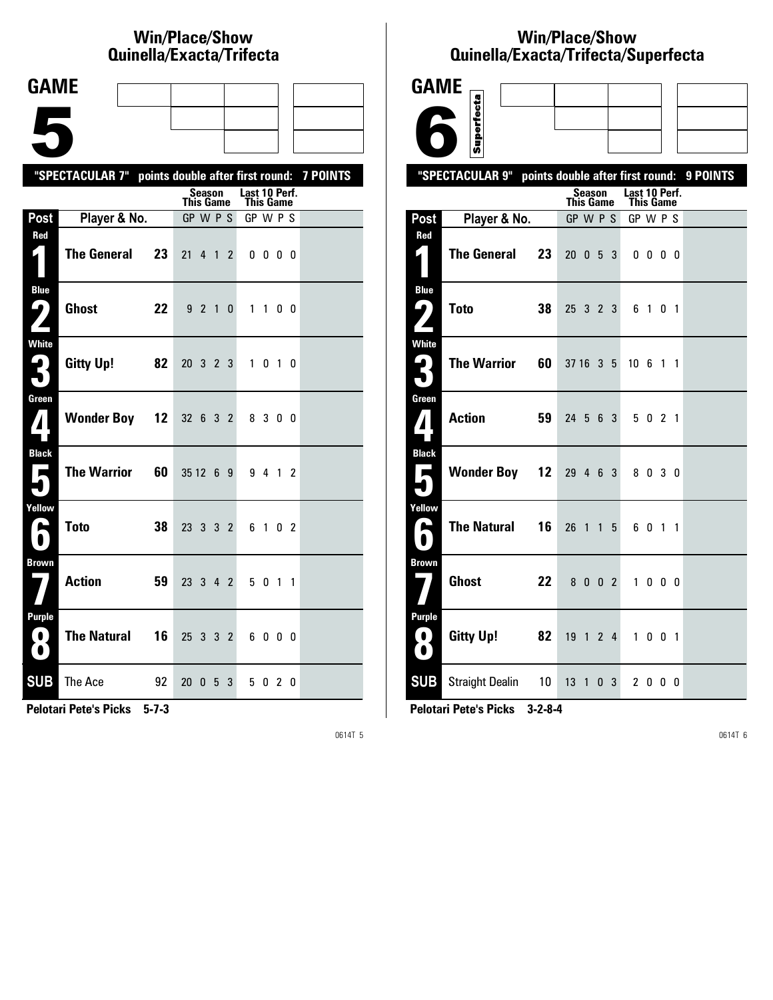# **Win/Place/Show Qui nel la/Exacta/Tri fecta**

| <b>GAME</b>                                                          |                                                           |    |                              |         |   |   |                       |              |    |  |
|----------------------------------------------------------------------|-----------------------------------------------------------|----|------------------------------|---------|---|---|-----------------------|--------------|----|--|
|                                                                      |                                                           |    |                              |         |   |   |                       |              |    |  |
|                                                                      |                                                           |    |                              |         |   |   |                       |              |    |  |
|                                                                      |                                                           |    |                              |         |   |   |                       |              |    |  |
|                                                                      | "SPECTACULAR 7" points double after first round: 7 POINTS |    |                              | Season  |   |   | Last 10 Perf.         |              |    |  |
| Post                                                                 | Player & No.                                              |    | <b>This Game</b><br>GP W P S |         |   |   | This Game<br>GP W P S |              |    |  |
| Red                                                                  |                                                           |    |                              |         |   |   |                       |              |    |  |
| 1                                                                    | <b>The General</b>                                        | 23 | 21 4 1 2                     |         |   |   |                       | $0\,0\,0\,0$ |    |  |
| <b>Blue</b><br>$\mathbf{\mathbf{\mathbf{\omega}}}$ )<br>$\mathbf{Z}$ | <b>Ghost</b>                                              | 22 |                              | 9 2 1 0 |   |   |                       | 1100         |    |  |
| White<br>3                                                           | <b>Gitty Up!</b>                                          | 82 | 20 3 2 3                     |         |   |   |                       | 1 0 1 0      |    |  |
| Green<br>$\mathbf{Z}$                                                | <b>Wonder Boy</b>                                         | 12 | 32 6 3 2                     |         |   |   |                       | 8 3 0 0      |    |  |
| <b>Black</b><br>$\overline{\phantom{a}}$                             | <b>The Warrior</b>                                        | 60 | 351269                       |         |   |   |                       | 9 4 1 2      |    |  |
| Yellow<br>$\blacktriangleright$<br>€                                 | <b>Toto</b>                                               | 38 | 23 3 3 2                     |         |   |   |                       | 6 1 0 2      |    |  |
| <b>Brown</b>                                                         | <b>Action</b>                                             | 59 | 23 3 4 2                     |         |   |   |                       | 5 0 1 1      |    |  |
| <b>Purple</b><br>$\bullet$ :<br>$\bullet$                            | <b>The Natural</b>                                        | 16 | 25 3 3 2                     |         |   |   |                       | 6000         |    |  |
| <b>SUB</b>                                                           | The Ace                                                   | 92 | 20                           | 0       | 5 | 3 | 5                     | 0            | 20 |  |

**Pelotari Pete's Picks 5-7-3**

0614T 5

# **Win/Place/Show Qui nel la/Exacta/Tri fecta/Super fecta**

| <b>GAME</b>                                 |                                                           |                            |                            |     |  |
|---------------------------------------------|-----------------------------------------------------------|----------------------------|----------------------------|-----|--|
|                                             | Superfecta                                                |                            |                            |     |  |
|                                             |                                                           |                            |                            |     |  |
|                                             | "SPECTACULAR 9" points double after first round: 9 POINTS |                            |                            |     |  |
|                                             |                                                           | Season<br><b>This Game</b> | Last 10 Perf.<br>This Game |     |  |
| Post                                        | Player & No.                                              | GP W P S                   | GP W P S                   |     |  |
| Red<br>$\mathbf{z}$                         | <b>The General</b><br>23                                  | $20 \t 0 \t 5$             | -3<br>$0\,0\,0\,0$         |     |  |
| <b>Blue</b><br>ر ما                         | <b>Toto</b><br>38                                         | 25 3 2 3                   | 6 1 0 1                    |     |  |
| <b>White</b><br>$\mathbf{G}_\parallel$<br>5 | <b>The Warrior</b><br>60                                  | 37 16 3 5                  | 10 6 1 1                   |     |  |
| Green<br>$\boldsymbol{I}$                   | <b>Action</b><br>59                                       | $24\ 5\ 6\ 3$              | 5 0 2 1                    |     |  |
| <b>Black</b><br>Е                           | <b>Wonder Boy 12</b>                                      | 29 4 6 3                   | 8 0 3 0                    |     |  |
| Yellow<br><b>A</b><br>$\blacksquare$        | <b>The Natural</b><br>16                                  | 26<br>1 1 5                | 6 0 1 1                    |     |  |
| <b>Brown</b>                                | <b>Ghost</b><br>22                                        | 8002                       | 1000                       |     |  |
| <b>Purple</b><br>O.<br>$\bullet$            | <b>Gitty Up!</b><br>82                                    | 19<br>1 2 4                | $\mathbf{1}$               | 001 |  |
| <b>SUB</b>                                  | 10 <sup>1</sup><br><b>Straight Dealin</b>                 | 13 1 0 3                   | 2000                       |     |  |

**Pelotari Pete's Picks 3-2-8-4**